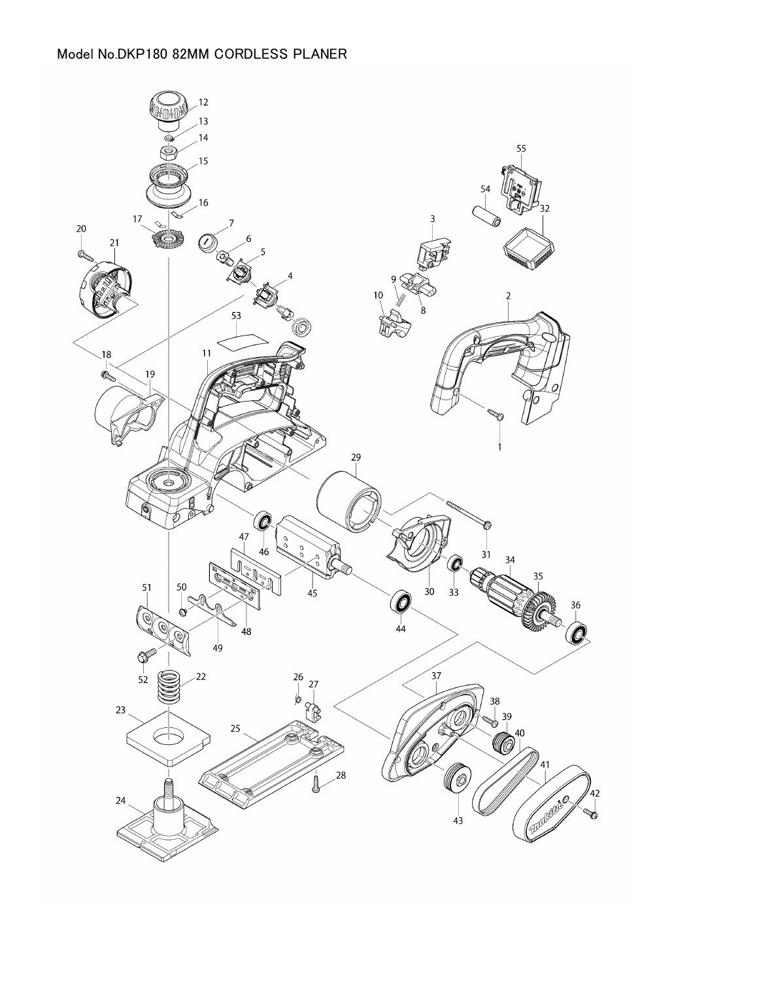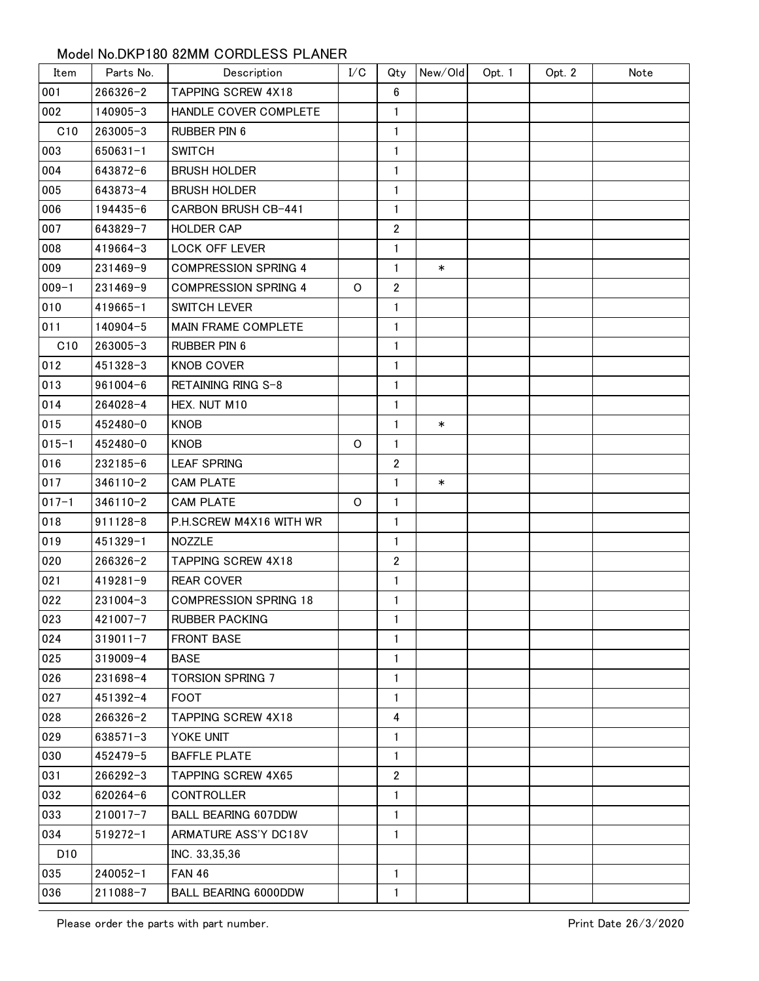## Model No.DKP180 82MM CORDLESS PLANER

| Item              | Parts No.    | Description                  | I/C | Qty            | New/Old | Opt. 1 | Opt. 2 | Note |
|-------------------|--------------|------------------------------|-----|----------------|---------|--------|--------|------|
| 001               | $266326 - 2$ | TAPPING SCREW 4X18           |     | 6              |         |        |        |      |
| 002               | 140905-3     | HANDLE COVER COMPLETE        |     | $\mathbf{1}$   |         |        |        |      |
| C10               | 263005-3     | RUBBER PIN 6                 |     | 1              |         |        |        |      |
| 003               | $650631 - 1$ | <b>SWITCH</b>                |     | $\mathbf{1}$   |         |        |        |      |
| 004               | 643872-6     | <b>BRUSH HOLDER</b>          |     | $\mathbf{1}$   |         |        |        |      |
| 005               | 643873-4     | <b>BRUSH HOLDER</b>          |     | 1              |         |        |        |      |
| 006               | 194435-6     | <b>CARBON BRUSH CB-441</b>   |     | $\mathbf{1}$   |         |        |        |      |
| 007               | 643829-7     | <b>HOLDER CAP</b>            |     | $\overline{2}$ |         |        |        |      |
| 008               | 419664-3     | LOCK OFF LEVER               |     | $\mathbf{1}$   |         |        |        |      |
| 009               | 231469-9     | <b>COMPRESSION SPRING 4</b>  |     | $\mathbf{1}$   | $\ast$  |        |        |      |
| $009 - 1$         | 231469-9     | <b>COMPRESSION SPRING 4</b>  | 0   | $\overline{2}$ |         |        |        |      |
| 010               | $419665 - 1$ | <b>SWITCH LEVER</b>          |     | $\mathbf{1}$   |         |        |        |      |
| 011               | 140904-5     | MAIN FRAME COMPLETE          |     | $\mathbf{1}$   |         |        |        |      |
| C10               | 263005-3     | <b>RUBBER PIN 6</b>          |     | 1              |         |        |        |      |
| 012               | 451328-3     | <b>KNOB COVER</b>            |     | $\mathbf{1}$   |         |        |        |      |
| 013               | $961004 - 6$ | RETAINING RING S-8           |     | 1              |         |        |        |      |
| 014               | 264028-4     | HEX. NUT M10                 |     | $\mathbf{1}$   |         |        |        |      |
| 015               | 452480-0     | <b>KNOB</b>                  |     | $\mathbf{1}$   | $\ast$  |        |        |      |
| $015 - 1$         | 452480-0     | <b>KNOB</b>                  | O   | 1              |         |        |        |      |
| 016               | 232185-6     | <b>LEAF SPRING</b>           |     | $\overline{2}$ |         |        |        |      |
| 017               | $346110 - 2$ | <b>CAM PLATE</b>             |     | $\mathbf{1}$   | $\ast$  |        |        |      |
| $017 - 1$         | $346110 - 2$ | <b>CAM PLATE</b>             | O   | 1              |         |        |        |      |
| 018               | $911128 - 8$ | P.H.SCREW M4X16 WITH WR      |     | $\mathbf{1}$   |         |        |        |      |
| 019               | 451329-1     | <b>NOZZLE</b>                |     | $\mathbf{1}$   |         |        |        |      |
| 020               | $266326 - 2$ | <b>TAPPING SCREW 4X18</b>    |     | $\mathbf{2}$   |         |        |        |      |
| 021               | $419281 - 9$ | <b>REAR COVER</b>            |     | $\mathbf{1}$   |         |        |        |      |
| 022               | $231004 - 3$ | <b>COMPRESSION SPRING 18</b> |     | 1              |         |        |        |      |
| $\overline{0}$ 23 | 421007-7     | <b>RUBBER PACKING</b>        |     | $\mathbf{1}$   |         |        |        |      |
| 024               | $319011 - 7$ | <b>FRONT BASE</b>            |     | $\mathbf{1}$   |         |        |        |      |
| 025               | 319009-4     | <b>BASE</b>                  |     | $\mathbf{1}$   |         |        |        |      |
| 026               | 231698-4     | <b>TORSION SPRING 7</b>      |     | $\mathbf{1}$   |         |        |        |      |
| 027               | 451392-4     | <b>FOOT</b>                  |     | 1              |         |        |        |      |
| 028               | $266326 - 2$ | TAPPING SCREW 4X18           |     | 4              |         |        |        |      |
| 029               | 638571-3     | YOKE UNIT                    |     | $\mathbf{1}$   |         |        |        |      |
| 030               | 452479-5     | <b>BAFFLE PLATE</b>          |     | 1              |         |        |        |      |
| 031               | $266292 - 3$ | <b>TAPPING SCREW 4X65</b>    |     | $\overline{2}$ |         |        |        |      |
| 032               | $620264 - 6$ | <b>CONTROLLER</b>            |     | $\mathbf{1}$   |         |        |        |      |
| 033               | $210017 - 7$ | <b>BALL BEARING 607DDW</b>   |     | 1              |         |        |        |      |
| 034               | $519272 - 1$ | ARMATURE ASS'Y DC18V         |     | $\mathbf{1}$   |         |        |        |      |
| D <sub>10</sub>   |              | INC. 33,35,36                |     |                |         |        |        |      |
| 035               | $240052 - 1$ | <b>FAN 46</b>                |     | $\mathbf{1}$   |         |        |        |      |
| 036               | 211088-7     | <b>BALL BEARING 6000DDW</b>  |     | $\mathbf{1}$   |         |        |        |      |

Please order the parts with part number.<br>
Print Date 26/3/2020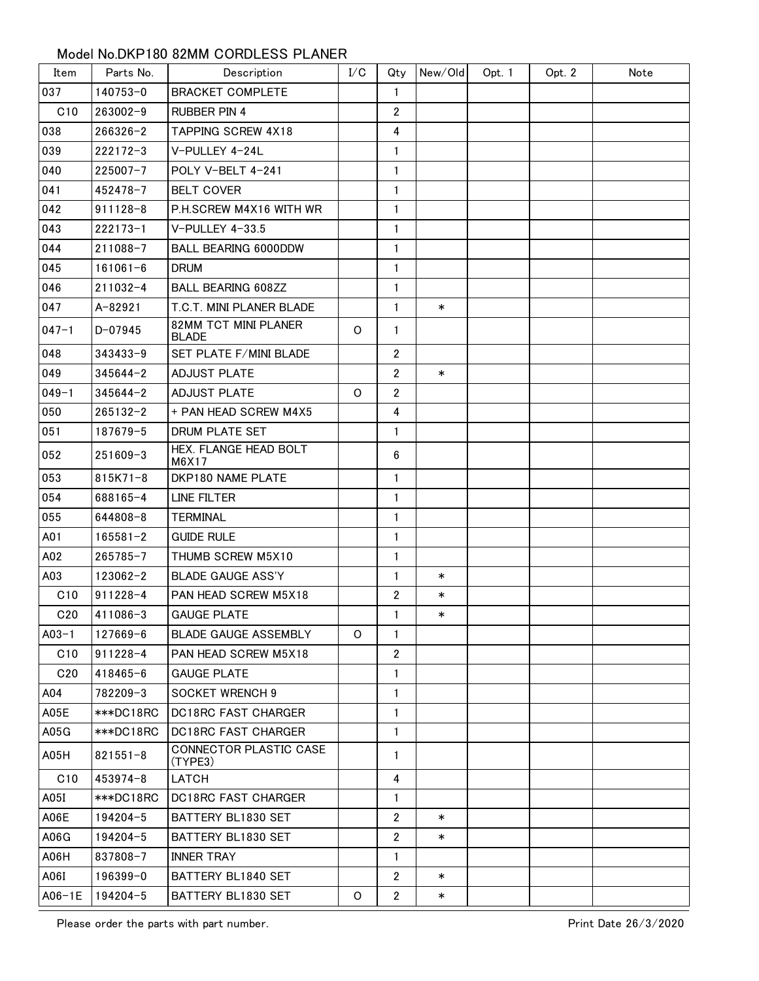## Model No.DKP180 82MM CORDLESS PLANER

| Item      | Parts No.    | Description                          | I/C     | Qty                     | New/Old | Opt. 1 | Opt. 2 | Note |
|-----------|--------------|--------------------------------------|---------|-------------------------|---------|--------|--------|------|
| 037       | 140753-0     | <b>BRACKET COMPLETE</b>              |         | $\mathbf{1}$            |         |        |        |      |
| C10       | $263002 - 9$ | <b>RUBBER PIN 4</b>                  |         | $\overline{2}$          |         |        |        |      |
| 038       | $266326 - 2$ | <b>TAPPING SCREW 4X18</b>            |         | 4                       |         |        |        |      |
| 039       | $222172 - 3$ | V-PULLEY 4-24L                       |         | 1                       |         |        |        |      |
| 040       | $225007 - 7$ | POLY V-BELT 4-241                    |         | $\mathbf{1}$            |         |        |        |      |
| 041       | $452478 - 7$ | <b>BELT COVER</b>                    |         | $\mathbf{1}$            |         |        |        |      |
| 042       | $911128 - 8$ | P.H.SCREW M4X16 WITH WR              |         | $\mathbf{1}$            |         |        |        |      |
| 043       | $222173 - 1$ | V-PULLEY 4-33.5                      |         | 1                       |         |        |        |      |
| 044       | 211088-7     | <b>BALL BEARING 6000DDW</b>          |         | 1                       |         |        |        |      |
| 045       | $161061 - 6$ | <b>DRUM</b>                          |         | $\mathbf{1}$            |         |        |        |      |
| 046       | $211032 - 4$ | <b>BALL BEARING 608ZZ</b>            |         | 1                       |         |        |        |      |
| 047       | A-82921      | T.C.T. MINI PLANER BLADE             |         | $\mathbf{1}$            | $\ast$  |        |        |      |
| $047 - 1$ | $D - 07945$  | 82MM TCT MINI PLANER<br><b>BLADE</b> | $\circ$ | $\mathbf{1}$            |         |        |        |      |
| 048       | $343433 - 9$ | SET PLATE F/MINI BLADE               |         | $\mathbf{2}$            |         |        |        |      |
| 049       | $345644 - 2$ | <b>ADJUST PLATE</b>                  |         | $\overline{2}$          | $\ast$  |        |        |      |
| $049 - 1$ | $345644 - 2$ | <b>ADJUST PLATE</b>                  | 0       | $\overline{2}$          |         |        |        |      |
| 050       | $265132 - 2$ | + PAN HEAD SCREW M4X5                |         | $\overline{\mathbf{4}}$ |         |        |        |      |
| 051       | 187679-5     | DRUM PLATE SET                       |         | 1                       |         |        |        |      |
| 052       | $251609 - 3$ | HEX. FLANGE HEAD BOLT<br>M6X17       |         | $6\phantom{.}6$         |         |        |        |      |
| 053       | 815K71-8     | DKP180 NAME PLATE                    |         | $\mathbf{1}$            |         |        |        |      |
| 054       | 688165-4     | LINE FILTER                          |         | $\mathbf{1}$            |         |        |        |      |
| 055       | 644808-8     | TERMINAL                             |         | 1                       |         |        |        |      |
| A01       | $165581 - 2$ | <b>GUIDE RULE</b>                    |         | 1                       |         |        |        |      |
| A02       | $265785 - 7$ | THUMB SCREW M5X10                    |         | 1                       |         |        |        |      |
| A03       | 123062-2     | <b>BLADE GAUGE ASS'Y</b>             |         | $\mathbf{1}$            | $\ast$  |        |        |      |
| C10       | 911228-4     | PAN HEAD SCREW M5X18                 |         | $\overline{2}$          | $\ast$  |        |        |      |
| C20       | 411086-3     | <b>GAUGE PLATE</b>                   |         | 1                       | $\ast$  |        |        |      |
| $A03-1$   | 127669-6     | <b>BLADE GAUGE ASSEMBLY</b>          | O       | $\mathbf{1}$            |         |        |        |      |
| C10       | $911228 - 4$ | <b>PAN HEAD SCREW M5X18</b>          |         | $\overline{2}$          |         |        |        |      |
| C20       | 418465-6     | <b>GAUGE PLATE</b>                   |         | 1                       |         |        |        |      |
| A04       | 782209-3     | <b>SOCKET WRENCH 9</b>               |         | $\mathbf{1}$            |         |        |        |      |
| A05E      | ***DC18RC    | <b>DC18RC FAST CHARGER</b>           |         | $\mathbf{1}$            |         |        |        |      |
| A05G      | ***DC18RC    | <b>DC18RC FAST CHARGER</b>           |         | 1                       |         |        |        |      |
| A05H      | $821551 - 8$ | CONNECTOR PLASTIC CASE<br>(TYPE3)    |         | $\mathbf{1}$            |         |        |        |      |
| C10       | $453974 - 8$ | LATCH                                |         | 4                       |         |        |        |      |
| A05I      | ***DC18RC    | <b>DC18RC FAST CHARGER</b>           |         | $\mathbf{1}$            |         |        |        |      |
| A06E      | 194204-5     | BATTERY BL1830 SET                   |         | $\overline{2}$          | $\ast$  |        |        |      |
| A06G      | 194204-5     | BATTERY BL1830 SET                   |         | $\overline{2}$          | $\ast$  |        |        |      |
| A06H      | 837808-7     | <b>INNER TRAY</b>                    |         | 1                       |         |        |        |      |
| A06I      | $196399 - 0$ | BATTERY BL1840 SET                   |         | $\overline{2}$          | $\ast$  |        |        |      |
| $A06-1E$  | 194204-5     | BATTERY BL1830 SET                   | O       | $\mathbf{2}$            | $\ast$  |        |        |      |

Please order the parts with part number.<br>
Print Date 26/3/2020